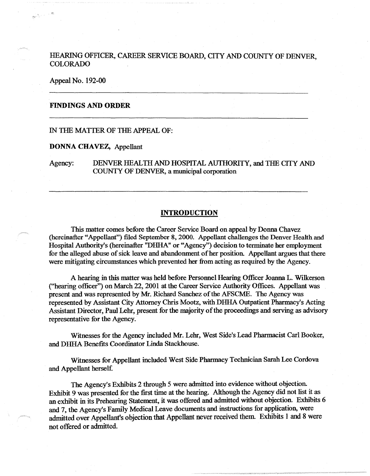# HEARING OFFICER, CAREER SERVICE BOARD, CITY AND COUNTY OF DENVER. COLORADO

Appeal No. 192-00

## **FINDINGS AND ORDER**

# IN THE MATTER OF THE APPEAL OF:

#### **DONNA CHAVEZ,** Appellant

Agency: DENVER HEALTH AND HOSPITAL AUTHORITY, and THE CITY AND COUNTY OF DENVER a municipal corporation

#### **INTRODUCTION**

This matter comes before the Career Service Board on appeal by Donna Chavez (hereinafter "Appellant") filed September 8, 2000. Appellant challenges the Denver Health and Hospital Authority's (hereinafter "DHHA" or "Agency") decision to terminate her employment for the alleged abuse of sick leave and abandonment of her position. Appellant argues that there were mitigating circumstances which prevented her from acting as required by the Agency.

A hearing in this matter was held before Personnel Hearing Officer Joanna L. Wilkerson ("hearing officer") on March 22, 2001 at the Career Service Authority Offices. Appellant was present and was represented by Mr. Richard Sanchez of the AFSCME. The Agency was represented by Assistant City Attorney Chris Mootz, with DHHA Outpatient Pharmacy's Acting Assistant Director, Paul Lehr, present for the majority of the proceedings and serving as advisory representative for the Agency.

Witnesses for the Agency included Mr. Lehr, West Side's Lead Pharmacist Carl Booker, and DHHA Benefits Coordinator Linda Stackhouse.

Witnesses for Appellant included West Side Pharmacy Technician Sarah Lee Cordova and Appellant herself.

The Agency's Exhibits 2 through *5* were admitted into evidence without objection. Exhibit 9 was presented for the first time at the hearing. Although the Agency did not list it as an exhibit in its Prehearing Statement, it was offered and admitted without objection. Exhibits 6 and 7, the Agency's Family Medical Leave documents and instructions for application, were admitted over Appellant's objection that Appellant never received them. Exhibits 1 and 8 were not offered or admitted.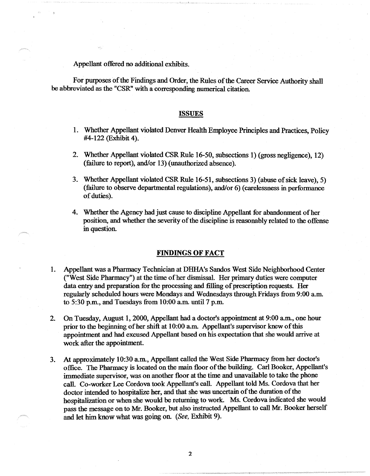Appellant offered no additional exhibits.

For purposes of the Findings and Order, the Rules of the Career Service Authority shall be abbreviated as the "CSR" with a corresponding numerical citation.

#### **ISSUES**

- 1. Whether Appellant violated Denver Health Employee Principles and Practices, Policy #4-122 (Exhibit 4).
- 2. Whether Appellant violated CSR Rule 16-50, subsections 1) (gross negligence), 12) (failure to report}, and/or 13) (unauthorized absence).
- 3. Whether Appellant violated CSR Rule 16-51, subsections 3) (abuse of sick leave), 5) (failure to observe departmental regulations), and/or 6) (carelessness in performance of duties).
- 4. Whether the Agency had just cause to discipline Appellant for abandonment of her position, and whether the severity of the discipline is reasonably related to the offense in question.

## **FINDINGS OF FACT**

- 1. Appellant was a Pharmacy Technician at DHHA's Sandos West Side Neighborhood Center ("West Side Pharmacy") at the time of her dismissal. Her primary duties were computer data entry and preparation for the processing and filling of prescription requests. Her regularly scheduled hours were Mondays and Wednesdays through Fridays from 9:00 a.m. to 5:30 p.m., and Tuesdays from 10:00 am. until 7 p.m.
- 2. On Tuesday, August 1, 2000, Appellant had a doctor's appointment at 9:00 am., one hour prior to the beginning of her shift at 10:00 am. Appellant's supervisor knew of this appointment and had excused Appellant based on his expectation that she would arrive at work after the appointment.
- 3. At approximately 10:30 am., Appellant called the West Side Pharmacy from her doctor's office. The Pharmacy is located on the main floor of the building. Carl Booker, Appellant's immediate supervisor, was on another floor at the time and unavailable to take the phone call. Co-worker Lee Cordova took Appellant's call. Appellant told Ms. Cordova that her doctor intended to hospitalize her, and that she was uncertain of the duration of the hospitalization or when she would be returning to work. Ms. Cordova indicated she would pass the message on to Mr. Booker, but also instructed Appellant to call Mr. Booker herself and let him know what was going on. (See, Exhibit 9).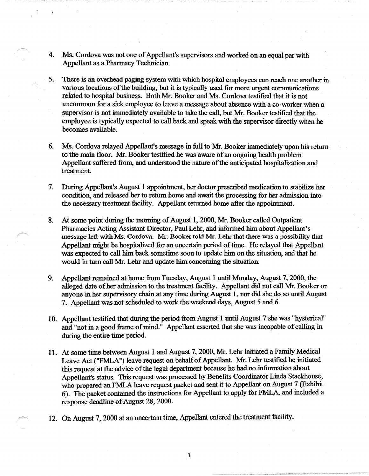- 4. Ms. Cordova was not one of Appellant's supervisors and worked on an equal par with Appellant as a Pharmacy Technician.
- 5. There is an overhead paging system with which hospital employees can reach one another in various locations of the building, but it is typically used for more urgent communications related to hospital business. Both Mr. Booker and Ms. Cordova testified that it is not uncommon for a sick employee to leave a message about absence with a co-worker when a supervisor is not immediately available to take the call, but Mr. Booker testified that the employee is typically expected to call back and speak with the supervisor directly when he becomes available.
- 6. Ms. Cordova relayed Appellant's message in full to Mr. Booker immediately upon his return to the main floor. Mr. Booker testified he was aware of an ongoing health problem Appellant suffered from, and understood the nature of the anticipated hospitalization and treatment.
- 7. During Appellant's August 1 appointment, her doctor prescribed medication to stabilize her condition, and released her to return home and await the processing for her admission into the necessary treatment facility. Appellant returned home after the appointment.
- 8. At some point during the morning of August 1, 2000, Mr. Booker called Outpatient Pharmacies Acting Assistant Director, Paul Lehr, and informed him about Appellant's message left with Ms. Cordova. Mr. Booker told Mr. Lehr that there was a possibility that Appellant might be hospitalized for an uncertain period of time. He relayed that Appellant was expected to call him back sometime soon to update him on the situation, and that he would in turn call Mr. Lehr and update him concerning the situation.
- 9. Appellant remained at home from Tuesday, August 1 until Monday, August 7, 2000, the alleged date of her admission to the treatment facility. Appellant did not call Mr. Booker or anyone in her supervisory chain at any time during August 1, nor did she do so until August 7. Appellant was not scheduled to work the weekend days, August *5* and 6.
- IO. Appellant testified that during the period from August 1 until August 7 she was "hysterical" and "not in a good frame of mind." Appellant asserted that she was incapable of calling in during the entire time period.
- 11. At some time between August 1 and August 7, 2000, Mr. Lehr initiated a Family Medical Leave Act ("FMLA") leave request on behalf of Appellant. Mr. Lehr testified he initiated this request at the advice of the legal department because he had no information about Appellant's status. This request was processed by Benefits Coordinator Linda Stackhouse, who prepared an FMLA leave request packet and sent it to Appellant on August 7 (Exhibit 6). The packet contained the instructions for Appellant to apply for FMLA, and included a response deadline of August 28, 2000.
- 12. On August 7, 2000 at an uncertain time, Appellant entered the treatment facility.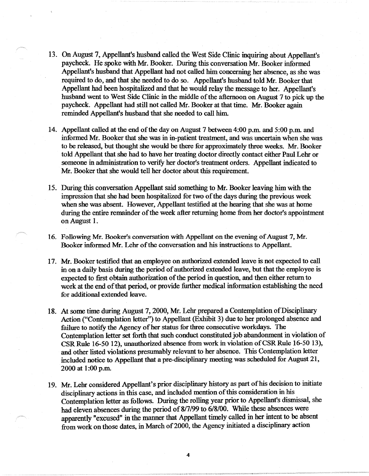- 13. On August 7, Appellant's husband called the West Side Clinic inquiring about Appellant's paycheck. He spoke with Mr. Booker. During this conversation Mr. Booker informed Appellant's husband that Appellant had not called him concerning her absence, as she was required to do, and that she needed to do so. Appellant's husband told Mr. Booker that Appellant had been hospitalized and that he would relay the message to her. Appellant's husband went to West Side Clinic in the middle of the afternoon on August 7 to pick up the paycheck. Appellant had still not called Mr. Booker at that time. Mr. Booker again reminded Appellant's husband that she needed to call him.
- 14. Appellant called at the end of the day on August 7 between 4:00 p.m. and 5:00 p.m. and informed Mr. Booker that she was in in-patient treatment, and was uncertain when she was to be released, but thought she would be there for approximately three weeks. Mr. Booker told Appellant that she had to have her treating doctor directly contact either Paul Lehr or someone in administration to verify her doctor's treatment orders. Appellant indicated to Mr. Booker that she would tell her doctor about this requirement.
- 15. During this conversation Appellant said something to Mr. Booker leaving him with the impression that she had been hospitalized for two of the days during the previous week when she was absent. However, Appellant testified at the hearing that she was at home during the entire remainder of the week after returning home from her doctor's appointment onAugust I.
- 16. Following Mr. Booker's conversation with Appellant on the evening of August 7, Mr. Booker informed Mr. Lehr of the conversation and his instructions to Appellant.
- 17. Mr. Booker testified that an employee on authorized extended leave is not expected to call in on a daily basis during the period of authorized extended leave, but that the employee is expected to first obtain authorization of the period in question, and then either return to work at the end of that period, or provide further medical information establishing the need for additional extended leave.
- 18. At some time during August 7, 2000, Mr. Lehr prepared a Contemplation of Disciplinary Action ("Contemplation letter'') to Appellant (Exhibit 3) due to her prolonged absence and failure to notify the Agency of her status for three consecutive workdays. The Contemplation letter set forth that such conduct constituted job abandonment in violation of CSR Rule 16-50 12), unauthorized absence from work in violation of CSR Rule 16-50 13), and other listed violations presumably relevant to her absence. This Contemplation letter included notice to Appellant that a pre-disciplinary meeting was scheduled for August 21, 2000 at I :00 p.m.
- 19. Mr. Lehr considered Appellant's prior disciplinary history as part of his decision to initiate disciplinary actions in this case, and included mention of this consideration in his Contemplation letter as follows. During the rolling year prior to Appellant's dismissal, she had eleven absences during the period of 8/7/99 to 6/8/00. While these absences were apparently "excused" in the manner that Appellant timely called in her intent to be absent from work on those dates, in March of 2000, the Agency initiated a disciplinary action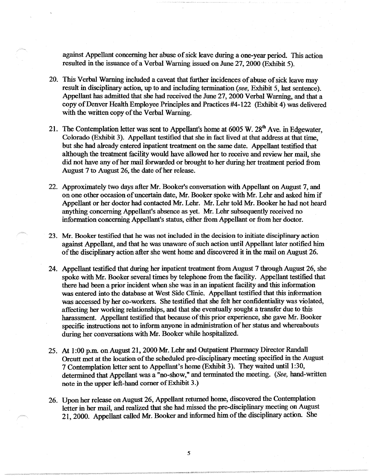against Appellant concerning her abuse of sick leave during a one-year period. This action resulted in the issuance of a Verbal Warning issued on June 27, 2000 (Exhibit 5).

- 20. This Verbal Warning included a caveat that further incidences of abuse of sick leave may result in disciplinary action, up to and including termination *(see,* Exhibit *5,* last sentence). Appellant has admitted that she had received the June 27, 2000 Verbal Warning, and that a copy of Denver Health Employee Principles and Practices #4-122 (Exhibit 4) was delivered with the written copy of the Verbal Warning.
- 21. The Contemplation letter was sent to Appellant's home at  $6005 \text{ W}$ .  $28^{\text{th}}$  Ave. in Edgewater, Colorado (Exhibit 3). Appellant testified that she in fact lived at that address at that time, but she had already entered inpatient treatment on the same date. Appellant testified that although the treatment facility would have allowed her to receive and review her mail, she did not have any of her mail forwarded or brought to her during her treatment period from August 7 to August 26, the date of her release.
- 22. Approximately two days after Mr. Booker's conversation with Appellant on August 7, and on one other occasion of uncertain date, Mr. Booker spoke with Mr. Lehr and asked him if Appellant or her doctor had contacted Mr. Lehr. Mr. Lehr told Mr. Booker he had not heard anything concerning Appellant's absence as yet. Mr. Lehr subsequently received no information concerning Appellant's status, either from Appellant or from her doctor.
- 23. Mr. Booker testified that he was not included in the decision to initiate disciplinary action against Appellant, and that he was unaware of such action until Appellant later notified him of the disciplinary action after she went home and discovered it in the mail on August 26.
- 24. Appellant testified that during her inpatient treatment from August 7 through August 26, she spoke with Mr. Booker several times by telephone from the facility. Appellant testified that there had been a prior incident when she was in an inpatient facility and this information was entered into the database at West Side Clinic. Appellant testified that this information was accessed by her co-workers. She testified that she felt her confidentiality was violated, affecting her working relationships, and that she eventually sought a transfer due to this harassment. Appellant testified that because of this prior experience, she gave Mr. Booker specific instructions not to inform anyone in administration of her status and whereabouts during her conversations with Mr. Booker while hospitalized.
- 25. At 1 :00 p.m. on August 21, 2000 Mr. Lehr and Outpatient Pharmacy Director Randall Orcutt met at the location of the scheduled pre-disciplinary meeting specified in the August 7 Contemplation letter sent to Appellant's home (Exhibit 3). They waited until 1 :30, determined that Appellant was a "no-show," and terminated the meeting. *(See,* band-written note in the upper left-hand comer of Exhibit 3.)
- 26. Upon her release on August 26, Appellant returned home, discovered the Contemplation letter in her mail, and realized that she had missed the pre-disciplinary meeting on August 21, 2000. Appellant called Mr. Booker and informed him of the disciplinary action. She
	- 5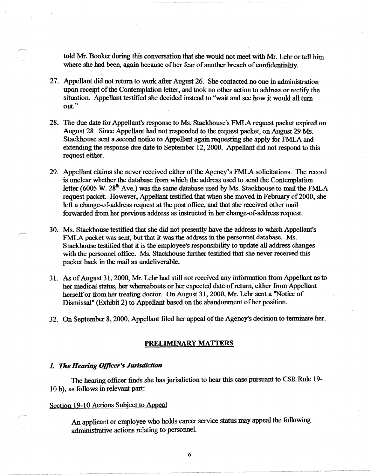told Mr. Booker during this conversation that she would not meet with Mr. Lehr or tell him where she had been, again because of her fear of another breach of confidentiality.

- 27. Appellant did not return to work after August 26. She contacted no one in administration upon receipt of the Contemplation letter, and took no other action to address or rectify the situation. Appellant testified she decided instead to ''wait and see how it would all tum out."
- 28. The due date for Appellant's response to Ms. Stackhouse's FMLA request packet expired on August 28. Since Appellant had not responded to the request packet, on August 29 Ms. Stackhouse sent a second notice to Appellant again requesting she apply for FMLA and extending the response due date to September 12, 2000. Appellant did not respond to this request either.
- 29. Appellant claims she never received either of the Agency's FMLA solicitations. The record is unclear whether the database from which the address used to send the Contemplation letter ( $6005 \text{ W}$ .  $28^{\text{th}}$  Ave.) was the same database used by Ms. Stackhouse to mail the FMLA request packet. However, Appellant testified that when she moved in February of 2000, she left a change-of.address request at the post office, and that she received other mail forwarded from her previous address as instructed in her change-of-address request.
- 30. Ms. Stackhouse testified that she did not presently have the address to which Appellant's FMLA packet was sent, but that it was the address in the personnel database. Ms. Stackhouse testified that it is the employee's responsibility to update all address changes with the personnel office. Ms. Stackhouse further testified that she never received this packet back in the mail as undeliverable.
- 31. As of August 31, 2000, Mr. Lehr had still not received any information from Appellant as to her medical status, her whereabouts or her expected date of return, either from Appellant herself or from her treating doctor. On August 31, 2000, Mr. Lehr sent a ''Notice of Dismissal" (Exhibit 2) to Appellant based on the abandonment of her position.
- 32. On September 8, 2000, Appellant filed her appeal of the Agency's decision to terminate her.

## **PRELIMINARY MATTERS**

## 1. The Hearing Officer's Jurisdiction

The hearing officer finds she has jurisdiction to hear this case pursuant to CSR Rule 19- 10 b), as follows in relevant part:

## Section 19-10 Actions Subject to Appeal

An applicant or employee who holds career service status may appeal the following administrative actions relating to personnel.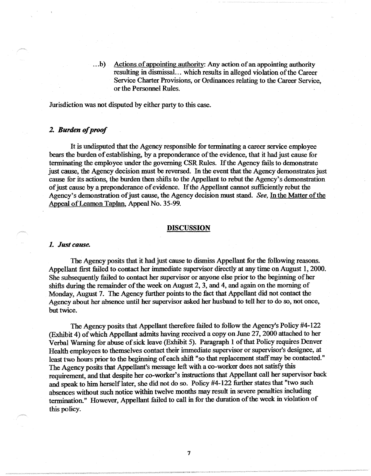...b) Actions of appointing authority: Any action of an appointing authority resulting in dismissal ... which results in alleged violation of the Career Service Charter Provisions, or Ordinances relating to the Career Service, or the Personnel Rules.

Jurisdiction was not disputed by either party to this case.

## *2. Burden of proof*

It is undisputed that the Agency responsible for terminating a career service employee bears the burden of establishing, by a preponderance of the evidence, that it had just cause for terminating the employee under the governing CSR Rules. If the Agency fails to demonstrate just cause, the Agency decision must be reversed. In the event that the Agency demonstrates just cause for its actions, the burden then shifts to the Appellant to rebut the Agency's demonstration of just cause by a preponderance of evidence. If the Appellant cannot sufficiently rebut the Agency's demonstration of just cause, the Agency decision must stand. *See,* In the Matter of the Appeal of Leamon Taplan, Appeal No. 35-99.

#### **DISCUSSION**

#### *1. Just cause.*

The Agency posits that it had just cause to dismiss Appellant for the following reasons. Appellant first failed to contact her immediate supervisor directly at any time on August 1, 2000. She subsequently failed to contact her supervisor or anyone else prior to the beginning of her shifts during the remainder of the week on August 2, 3, and 4, and again on the morning of Monday, August 7. The Agency further points to the fact that Appellant did not contact the Agency about her absence until her supervisor asked her husband to tell her to do so, not once, but twice.

The Agency posits that Appellant therefore failed to follow the Agency's Policy #4-122 (Exhibit 4) of which Appellant admits having received a copy on June 27, 2000 attached to her Verbal Warning for abuse of sick leave (Exhibit 5). Paragraph 1 of that Policy requires Denver Health employees to themselves contact their immediate supervisor or supervisor's designee, at least two hours prior to the beginning of each shift "so that replacement staff may be contacted." The Agency posits that Appellant's message left with a co-worker does not satisfy this requirement, and that despite her co-worker's instructions that Appellant call her supervisor back and speak to him herself later, she did not do so. Policy #4-122 further states that "two such absences without such notice within twelve months may resuh in severe penalties including termination." However, Appellant failed to call in for the duration of the week in violation of this policy.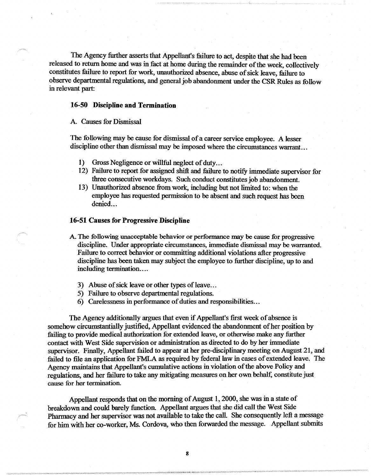The Agency further asserts that Appellant's failure to act, despite that she had been released to return home and was in fact at home during the remainder of the week, collectively constitutes failure to report for work, unauthorized absence, abuse of sick leave, failure to observe departmental regulations, and general job abandonment under the CSR Rules as follow in relevant part:

## **16-50 Discipline and Termination**

## A. Causes for Dismissal

The following may be cause for dismissal of a career service employee. A lesser discipline other than dismissal may be imposed where the circumstances warrant ...

- 1) Gross Negligence or willful neglect of duty...
- 12) Failure to report for assigned shift and failure to notify immediate supervisor for three consecutive workdays. Such conduct constitutes job abandonment.
- 13) Unauthorized absence from work, including but not limited to: when the employee has requested permission to be absent and such request has been denied...

#### **16-51 Causes for Progressive Discipline**

A The following unacceptable behavior or performance may be cause for progressive discipline. Under appropriate circumstances, immediate dismissal may be warranted. Failure to correct behavior or committing additional violations after progressive discipline has been taken may subject the employee to further discipline, up to and including termination....

- 3) Abuse of sick leave or other types of leave...
- 5) Failure to observe departmental regulations.
- 6) Carelessness in performance of duties and responsibilities ...

The Agency additionally argues that even if Appellant's first week of absence is somehow circumstantially justified, Appellant evidenced the abandonment of her position by failing to provide medical authorization for extended leave, or otherwise make any further contact with West Side supervision or administration as directed to do by her immediate supervisor. Finally, Appellant failed to appear at her pre-disciplinary meeting on August 21, and failed to file an application for FMLA as required by federal law in cases of extended leave. The Agency maintains that Appellant's cumulative actions in violation of the above Policy and regulations, and her failure to take any mitigating measures on her own behalf, constitute just cause for her termination.

Appellant responds that on the morning of August 1, 2000, she was in a state of breakdown and could barely function. Appellant argues that she did call the West Side Pharmacy and her supervisor was not available to take the call. She consequently left a message for him with her co-worker, Ms. Cordova, who then forwarded the message. Appellant submits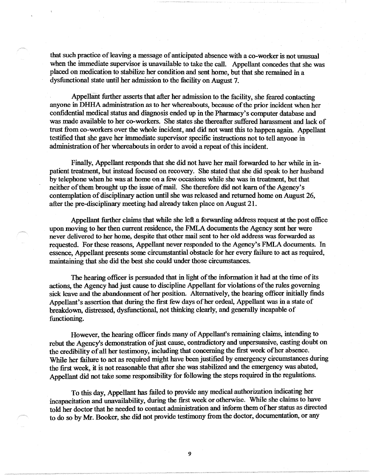that such practice of leaving a message of anticipated absence with a co-worker is not unusual when the immediate supervisor is unavailable to take the call. Appellant concedes that she was placed on medication to stabilize her condition and sent home, but that she remained in a dysfunctional state until her admission to the facility on August 7.

Appellant further asserts that after her admission to the facility, she feared contacting anyone in DHHA administration as to her whereabouts, because of the prior incident when her confidential medical status and diagnosis ended up in the Pharmacy's computer database and was made available to her co-workers. She states she thereafter suffered harassment and lack of trust from co-workers over the whole incident, and did not want this to happen again. Appellant testified that she gave her immediate supervisor specific instructions not to tell anyone in administration of her whereabouts in order to avoid a repeat of this incident.

Finally, Appellant responds that she did not have her mail forwarded to her while in inpatient treatment, but instead focused on recovery. She stated that she did speak to her husband by telephone when he was at home on a few occasions while she was in treatment, but that neither of them brought up the issue of mail. She therefore did not learn of the Agency's contemplation of disciplinary action until she was released and returned home on August 26, after the pre-disciplinary meeting had already taken place on August 21.

Appellant further claims that while she left a forwarding address request at the post office upon moving to her then current residence, the FMLA documents the Agency sent her were never delivered to her home, despite that other mail sent to her old address was forwarded as requested. For these reasons, Appellant never responded to the Agency's FMLA documents. In essence, Appellant presents some circumstantial obstacle for her every failure to act as required, maintaining that she did the best she could under those circumstances.

The hearing officer is persuaded that in light of the information it had at the time of its actions, the Agency had just cause to discipline Appellant for violations of the rules governing sick leave and the abandonment of her position. Alternatively, the hearing officer initially finds Appellant's assertion that during the first few days of her ordeal, Appellant was in a state of breakdown, distressed, dysfunctional, not thinking clearly, and generally incapable of functioning.

However, the hearing officer finds many of Appellant's remaining claims, intending to rebut the Agency's demonstration of just cause, contradictory and unpersuasive, casting doubt on the credibility of all her testimony, including that concerning the first week of her absence. While her failure to act as required might have been justified by emergency circumstances during the first week, it is not reasonable that after she was stabilized and the emergency was abated, Appellant did not take some responsibility for following the steps required in the regulations.

To this day, Appellant has failed to provide any medical authorization indicating her incapacitation and unavailability, during the first week or otherwise. While she claims to have told her doctor that he needed to contact administration and inform them of her status as directed to do so by Mr. Booker, she did not provide testimony from the doctor, documentation, or any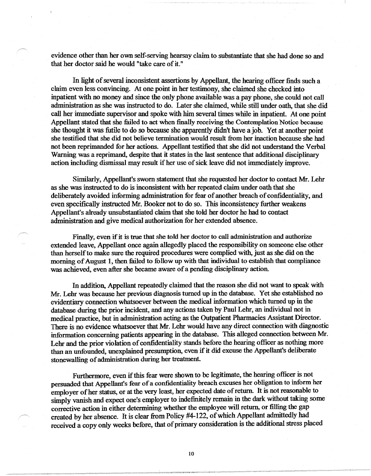evidence other than her own self-serving hearsay claim to substantiate that she had done so and that her doctor said he would "take care of it."

In light of several inconsistent assertions by Appellant, the hearing officer finds such a claim even less convincing. At one point in her testimony, she claimed she checked into inpatient with no money and since the only phone available was a pay phone, she could not call administration as she was instructed to do. Later she claimed, while still under oath, that she did call her immediate supervisor and spoke with him several times while in inpatient. At one point Appellant stated that she failed to act when finally receiving the Contemplation Notice because she thought it was futile to do so because she apparently didn't have a job. Yet at another point she testified that she did not believe termination would result from her inaction because she had not been reprimanded for her actions. Appellant testified that she did not understand the Verbal Warning was a reprimand, despite that it states in the last sentence that additional disciplinary action including dismissal may result if her use of sick leave did not immediately improve.

Similarly, Appellant's sworn statement that she requested her doctor to contact Mr. Lehr as she was instructed to do is inconsistent with her repeated claim under oath that she deliberately avoided informing administration for fear of another breach of confidentiality, and even specifically instructed Mr. Booker not to do so. This inconsistency further weakens Appellant's already unsubstantiated claim that she told her doctor he had to contact administration and give medical authorization for her extended absence.

Finally, even if it is true that she told her doctor to call administration and authorize. extended leave, Appellant once again allegedly placed the responsibility on someone else other than herself to make sure the required procedures were complied with, just as she did on the morning of August 1, then failed to follow up with that individual to establish that compliance was achieved, even after she became aware of a pending disciplinary action.

In addition, Appellant repeatedly claimed that the reason she did not want to speak with Mr. Lehr was because her previous diagnosis turned up in the database. Yet she established no evidentiary connection whatsoever between the medical information which turned up in the database during the prior incident, and any actions taken by Paul Lehr, an individual not in medical practice, but in administration acting as the Outpatient Pharmacies Assistant Director. There is no evidence whatsoever that Mr. Lehr would have any direct connection with diagnostic information concerning patients appearing in the database. This alleged connection between Mr. Lehr and the prior violation of confidentiality stands before the hearing officer as nothing more than an unfounded, unexplained presumption, even if it did excuse the Appellant's deliberate stonewalling of administration during her treatment.

Furthermore, even if this fear were shown to be legitimate, the hearing officer is not persuaded that Appellant's fear of a confidentiality breach excuses her obligation to inform her employer of her status, or at the very least, her expected date of return. It is not reasonable to simply vanish and expect one's employer to indefmitely remain in the dark without taking some corrective action in either determining whether the employee will return, or filling the gap created by her absence. It is clear from Policy #4-122, of which Appellant admittedly had received a copy only weeks before, that of primary consideration is the additional stress placed

IO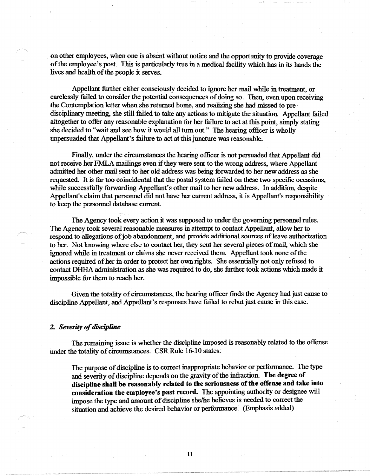on other employees, when one is absent without notice and the opportunity to provide coverage of the employee's post. This is particularly true in a medical facility which has in its hands the lives and health of the people it serves.

Appellant further either consciously decided to ignore her mail while in treatment, or carelessly failed to consider the potential consequences of doing so. Then, even upon receiving the Contemplation letter when she returned home, and realizing she had missed to predisciplinary meeting, she still failed to take any actions to mitigate the situation. Appellant failed altogether to offer any reasonable explanation for her failure to act at this point, simply stating she decided to "wait and see how it would all turn out." The hearing officer is wholly unpersuaded that Appellant's failure to act at this juncture was reasonable.

Finally, under the circumstances the hearing officer is not persuaded that Appellant did not receive her FMLA mailings even if they were sent to the wrong address, where Appellant admitted her other mail sent to her old address was being forwarded to her new address as she requested. It is far too coincidental that the postal system failed on these two specific occasions, while successfully forwarding Appellant's other mail to her new address. In addition, despite Appellant's claim that personnel did not have her current address, it is Appellant's responsibility to keep the personnel database current.

The Agency took every action it was supposed to under the governing personnel rules. The Agency took several reasonable measures in attempt to contact Appellant, allow her to respond to allegations of job abandonment, and provide additional sources of leave authorization to her. Not knowing where else to contact her, they sent her several pieces of mail, which she ignored while in treatment or claims she never received them. Appellant took none of the actions required of her in order to protect her own rights. She essentially not only refused to contact DHHA administration as she was required to do, she further took actions which made it impossible for them to reach her.

Given the totality of circumstances, the hearing officer finds the Agency had just cause to discipline Appellant, and Appellant's responses have failed to rebut just cause in this case.

### **2.** Severity of discipline

The remaining issue is whether the discipline imposed is reasonably related to the offense under the totality of circumstances. CSR Rule 16-10 states:

The purpose of discipline is to correct inappropriate behavior or performance. The type and severity of discipline depends on the gravity of the infraction. **The degree of discipline shall be reasonably related** to **the seriousness of the offense and take into consideration the employee's past record.** The appointing authority or designee will impose the type and amount of discipline she/he believes is needed to correct the situation and achieve the desired behavior or performance. (Emphasis added)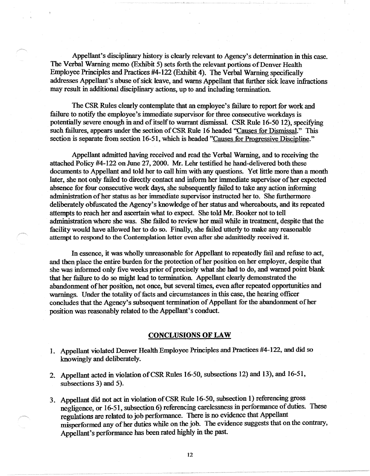Appellant's disciplinary history is clearly relevant to Agency's determination in this case. The Verbal Warning memo (Exhibit 5) sets forth the relevant portions of Denver Health Employee Principles and Practices #4-122 (Exhibit 4). The Verbal Warning specifically addresses Appellant's abuse of sick leave, and warns Appellant that further sick leave infractions may result in additional disciplinary actions, up to and including termination.

The CSR Rules clearly contemplate that an employee's failure to report for work and failure to notify the employee's immediate supervisor for three consecutive workdays is potentially severe enough in and of itself to warrant dismissal. CSR Rule 16-50 12), specifying such failures, appears under the section of CSR Rule 16 headed "Causes for Dismissal." This section is separate from section 16-51, which is headed "Causes for Progressive Discipline."

Appellant admitted having received and read the Verbal Warning, and to receiving the attached Policy #4-122 on June 27, 2000. Mr. Lehr testified he hand-delivered both these documents to Appellant and told her to call him with any questions. Yet little more than a month later, she not only failed to directly contact and inform her immediate supervisor of her expected absence for four consecutive work days, she subsequently failed to take any action informing administration of her status as her immediate supervisor instructed her to. She furthermore deliberately obfuscated the Agency's knowledge of her status and whereabouts, and its repeated attempts to reach her and ascertain what to expect. She told Mr. Booker not to tell administration where she was. She failed to review her mail while in treatment, despite that the facility would have allowed her to do so. Finally, she failed utterly to make any reasonable attempt to respond to the Contemplation letter even after she admittedly received it.

In essence, it was wholly unreasonable for Appellant to repeatedly fail and refuse to act, and then place the entire burden for the protection of her position on her employer, despite that she was informed only five weeks prior of precisely what she had to do, and warned point blank that her failure to do so might lead to termination. Appellant clearly demonstrated the abandonment of her position, not once, but several times, even after repeated opportunities and warnings. Under the totality of facts and circumstances in this case, the hearing officer concludes that the Agency's subsequent termination of Appellant for the abandonment of her position was reasonably related to the Appellant's conduct.

## **CONCLUSIONS OF LAW**

- I. Appellant violated Denver Health Employee Principles and Practices #4-122, and did so knowingly and deliberately.
- 2. Appellant acted in violation of CSR Rules 16-50, subsections 12) and 13), and 16-51, subsections 3) and 5).
- 3. Appellant did not act in violation of CSR Rule 16-50, subsection 1) referencing gross negligence, or 16-51, subsection 6) referencing carelessness in performance of duties. These regulations are related to job performance. There is no evidence that Appellant misperformed any of her duties while on the job. The evidence suggests that on the contrary, Appellant's performance has been rated highly in the past.